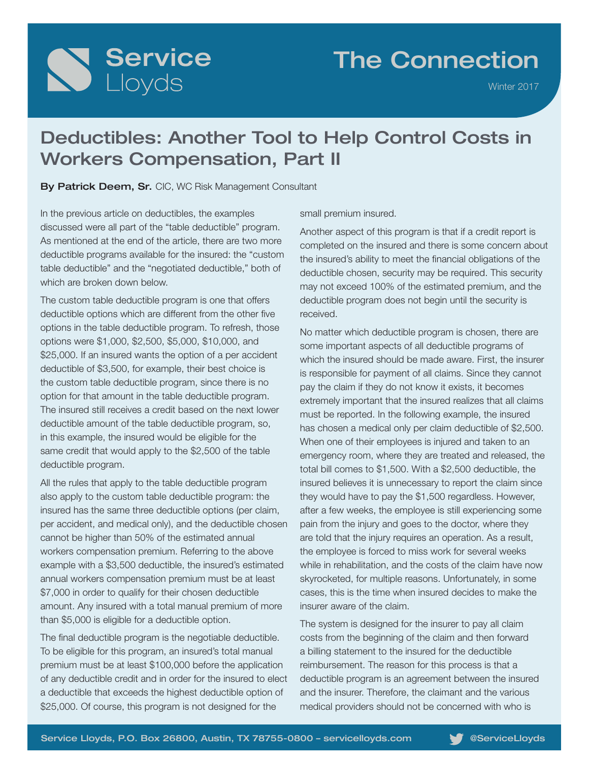# Service

## The Connection

Winter 2017

## Deductibles: Another Tool to Help Control Costs in Workers Compensation, Part II

By Patrick Deem, Sr. CIC, WC Risk Management Consultant

In the previous article on deductibles, the examples discussed were all part of the "table deductible" program. As mentioned at the end of the article, there are two more deductible programs available for the insured: the "custom table deductible" and the "negotiated deductible," both of which are broken down below.

The custom table deductible program is one that offers deductible options which are different from the other five options in the table deductible program. To refresh, those options were \$1,000, \$2,500, \$5,000, \$10,000, and \$25,000. If an insured wants the option of a per accident deductible of \$3,500, for example, their best choice is the custom table deductible program, since there is no option for that amount in the table deductible program. The insured still receives a credit based on the next lower deductible amount of the table deductible program, so, in this example, the insured would be eligible for the same credit that would apply to the \$2,500 of the table deductible program.

All the rules that apply to the table deductible program also apply to the custom table deductible program: the insured has the same three deductible options (per claim, per accident, and medical only), and the deductible chosen cannot be higher than 50% of the estimated annual workers compensation premium. Referring to the above example with a \$3,500 deductible, the insured's estimated annual workers compensation premium must be at least \$7,000 in order to qualify for their chosen deductible amount. Any insured with a total manual premium of more than \$5,000 is eligible for a deductible option.

The final deductible program is the negotiable deductible. To be eligible for this program, an insured's total manual premium must be at least \$100,000 before the application of any deductible credit and in order for the insured to elect a deductible that exceeds the highest deductible option of \$25,000. Of course, this program is not designed for the

small premium insured.

Another aspect of this program is that if a credit report is completed on the insured and there is some concern about the insured's ability to meet the financial obligations of the deductible chosen, security may be required. This security may not exceed 100% of the estimated premium, and the deductible program does not begin until the security is received.

No matter which deductible program is chosen, there are some important aspects of all deductible programs of which the insured should be made aware. First, the insurer is responsible for payment of all claims. Since they cannot pay the claim if they do not know it exists, it becomes extremely important that the insured realizes that all claims must be reported. In the following example, the insured has chosen a medical only per claim deductible of \$2,500. When one of their employees is injured and taken to an emergency room, where they are treated and released, the total bill comes to \$1,500. With a \$2,500 deductible, the insured believes it is unnecessary to report the claim since they would have to pay the \$1,500 regardless. However, after a few weeks, the employee is still experiencing some pain from the injury and goes to the doctor, where they are told that the injury requires an operation. As a result, the employee is forced to miss work for several weeks while in rehabilitation, and the costs of the claim have now skyrocketed, for multiple reasons. Unfortunately, in some cases, this is the time when insured decides to make the insurer aware of the claim.

The system is designed for the insurer to pay all claim costs from the beginning of the claim and then forward a billing statement to the insured for the deductible reimbursement. The reason for this process is that a deductible program is an agreement between the insured and the insurer. Therefore, the claimant and the various medical providers should not be concerned with who is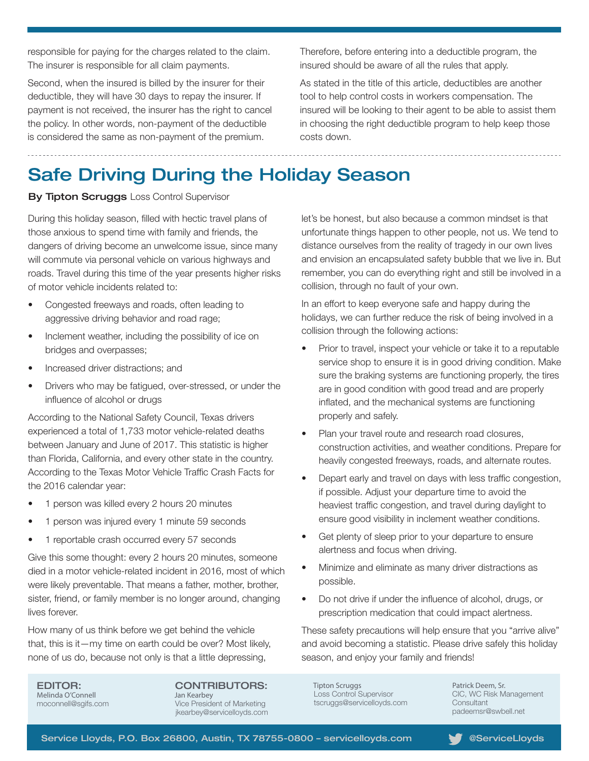responsible for paying for the charges related to the claim. The insurer is responsible for all claim payments.

Second, when the insured is billed by the insurer for their deductible, they will have 30 days to repay the insurer. If payment is not received, the insurer has the right to cancel the policy. In other words, non-payment of the deductible is considered the same as non-payment of the premium.

Therefore, before entering into a deductible program, the insured should be aware of all the rules that apply.

As stated in the title of this article, deductibles are another tool to help control costs in workers compensation. The insured will be looking to their agent to be able to assist them in choosing the right deductible program to help keep those costs down.

## Safe Driving During the Holiday Season

#### **By Tipton Scruggs Loss Control Supervisor**

During this holiday season, filled with hectic travel plans of those anxious to spend time with family and friends, the dangers of driving become an unwelcome issue, since many will commute via personal vehicle on various highways and roads. Travel during this time of the year presents higher risks of motor vehicle incidents related to:

- Congested freeways and roads, often leading to aggressive driving behavior and road rage;
- Inclement weather, including the possibility of ice on bridges and overpasses;
- Increased driver distractions; and
- Drivers who may be fatigued, over-stressed, or under the influence of alcohol or drugs

According to the National Safety Council, Texas drivers experienced a total of 1,733 motor vehicle-related deaths between January and June of 2017. This statistic is higher than Florida, California, and every other state in the country. According to the Texas Motor Vehicle Traffic Crash Facts for the 2016 calendar year:

- 1 person was killed every 2 hours 20 minutes
- 1 person was injured every 1 minute 59 seconds
- 1 reportable crash occurred every 57 seconds

Give this some thought: every 2 hours 20 minutes, someone died in a motor vehicle-related incident in 2016, most of which were likely preventable. That means a father, mother, brother, sister, friend, or family member is no longer around, changing lives forever.

How many of us think before we get behind the vehicle that, this is it—my time on earth could be over? Most likely, none of us do, because not only is that a little depressing,

let's be honest, but also because a common mindset is that unfortunate things happen to other people, not us. We tend to distance ourselves from the reality of tragedy in our own lives and envision an encapsulated safety bubble that we live in. But remember, you can do everything right and still be involved in a collision, through no fault of your own.

In an effort to keep everyone safe and happy during the holidays, we can further reduce the risk of being involved in a collision through the following actions:

- Prior to travel, inspect your vehicle or take it to a reputable service shop to ensure it is in good driving condition. Make sure the braking systems are functioning properly, the tires are in good condition with good tread and are properly inflated, and the mechanical systems are functioning properly and safely.
- Plan your travel route and research road closures, construction activities, and weather conditions. Prepare for heavily congested freeways, roads, and alternate routes.
- Depart early and travel on days with less traffic congestion, if possible. Adjust your departure time to avoid the heaviest traffic congestion, and travel during daylight to ensure good visibility in inclement weather conditions.
- Get plenty of sleep prior to your departure to ensure alertness and focus when driving.
- Minimize and eliminate as many driver distractions as possible.
- Do not drive if under the influence of alcohol, drugs, or prescription medication that could impact alertness.

These safety precautions will help ensure that you "arrive alive" and avoid becoming a statistic. Please drive safely this holiday season, and enjoy your family and friends!

EDITOR: Melinda O'Connell moconnell@sgifs.com

CONTRIBUTORS: Jan Kearbey Vice President of Marketing jkearbey@servicelloyds.com Tipton Scruggs Loss Control Supervisor tscruggs@servicelloyds.com

Patrick Deem, Sr. CIC, WC Risk Management **Consultant** padeemsr@swbell.net

Service Lloyds, P.O. Box 26800, Austin, TX 78755-0800 - servicelloyds.com **We**ServiceLloyds